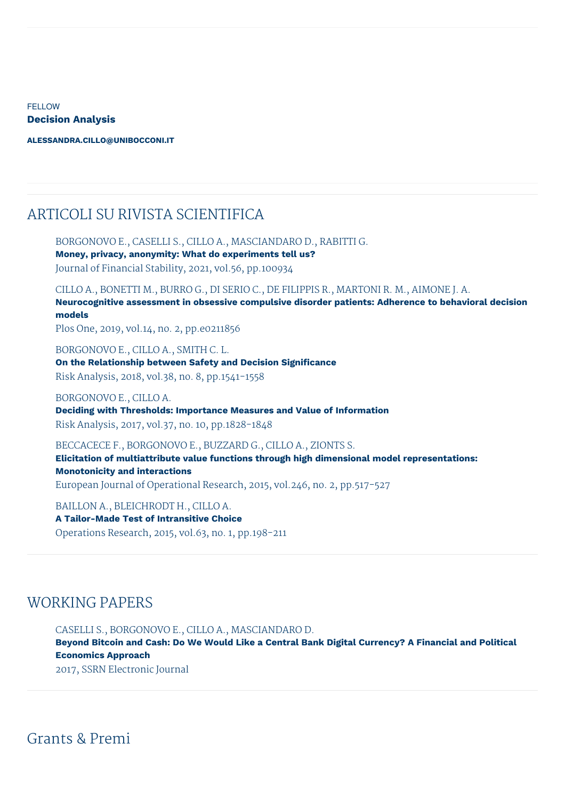**FELLOW Decision Analysis**

**[ALESSANDRA.CILLO@UNIBOCCONI.IT](mailto:alessandra.cillo@unibocconi.it)**

## ARTICOLI SU RIVISTA SCIENTIFICA

BORGONOVO E., CASELLI S., CILLO A., MASCIANDARO D., RABITTI G.

**Money, privacy, anonymity: What do experiments tell us?** Journal of Financial Stability, 2021, vol.56, pp.100934

CILLO A., BONETTI M., BURRO G., DI SERIO C., DE FILIPPIS R., MARTONI R. M., AIMONE J. A. **Neurocognitive assessment in obsessive compulsive disorder patients: Adherence to behavioral decision models**

Plos One, 2019, vol.14, no. 2, pp.e0211856

BORGONOVO E., CILLO A., SMITH C. L. **On the Relationship between Safety and Decision Significance**

Risk Analysis, 2018, vol.38, no. 8, pp.1541-1558

## BORGONOVO E., CILLO A.

**Deciding with Thresholds: Importance Measures and Value of Information** Risk Analysis, 2017, vol.37, no. 10, pp.1828-1848

BECCACECE F., BORGONOVO E., BUZZARD G., CILLO A., ZIONTS S.

**Elicitation of multiattribute value functions through high dimensional model representations: Monotonicity and interactions** European Journal of Operational Research, 2015, vol.246, no. 2, pp.517-527

BAILLON A., BLEICHRODT H., CILLO A.

**A Tailor-Made Test of Intransitive Choice** Operations Research, 2015, vol.63, no. 1, pp.198-211

## WORKING PAPERS

CASELLI S., BORGONOVO E., CILLO A., MASCIANDARO D. **Beyond Bitcoin and Cash: Do We Would Like a Central Bank Digital Currency? A Financial and Political Economics Approach** 2017, SSRN Electronic Journal

Grants & Premi